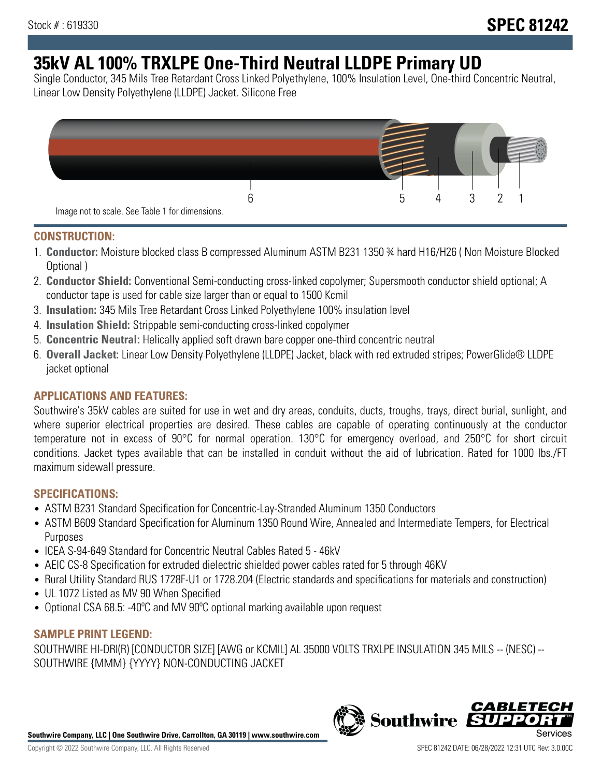# **35kV AL 100% TRXLPE One-Third Neutral LLDPE Primary UD**

Single Conductor, 345 Mils Tree Retardant Cross Linked Polyethylene, 100% Insulation Level, One-third Concentric Neutral, Linear Low Density Polyethylene (LLDPE) Jacket. Silicone Free



## **CONSTRUCTION:**

- 1. **Conductor:** Moisture blocked class B compressed Aluminum ASTM B231 1350 ¾ hard H16/H26 ( Non Moisture Blocked Optional )
- 2. **Conductor Shield:** Conventional Semi-conducting cross-linked copolymer; Supersmooth conductor shield optional; A conductor tape is used for cable size larger than or equal to 1500 Kcmil
- 3. **Insulation:** 345 Mils Tree Retardant Cross Linked Polyethylene 100% insulation level
- 4. **Insulation Shield:** Strippable semi-conducting cross-linked copolymer
- 5. **Concentric Neutral:** Helically applied soft drawn bare copper one-third concentric neutral
- 6. **Overall Jacket:** Linear Low Density Polyethylene (LLDPE) Jacket, black with red extruded stripes; PowerGlide® LLDPE jacket optional

# **APPLICATIONS AND FEATURES:**

Southwire's 35kV cables are suited for use in wet and dry areas, conduits, ducts, troughs, trays, direct burial, sunlight, and where superior electrical properties are desired. These cables are capable of operating continuously at the conductor temperature not in excess of 90°C for normal operation. 130°C for emergency overload, and 250°C for short circuit conditions. Jacket types available that can be installed in conduit without the aid of lubrication. Rated for 1000 lbs./FT maximum sidewall pressure.

## **SPECIFICATIONS:**

- ASTM B231 Standard Specification for Concentric-Lay-Stranded Aluminum 1350 Conductors
- ASTM B609 Standard Specification for Aluminum 1350 Round Wire, Annealed and Intermediate Tempers, for Electrical Purposes
- ICEA S-94-649 Standard for Concentric Neutral Cables Rated 5 46kV
- AEIC CS-8 Specification for extruded dielectric shielded power cables rated for 5 through 46KV
- Rural Utility Standard RUS 1728F-U1 or 1728.204 (Electric standards and specifications for materials and construction)
- UL 1072 Listed as MV 90 When Specified
- Optional CSA 68.5: -40ºC and MV 90ºC optional marking available upon request

## **SAMPLE PRINT LEGEND:**

SOUTHWIRE HI-DRI(R) [CONDUCTOR SIZE] [AWG or KCMIL] AL 35000 VOLTS TRXLPE INSULATION 345 MILS -- (NESC) -- SOUTHWIRE {MMM} {YYYY} NON-CONDUCTING JACKET

**Southwire Company, LLC | One Southwire Drive, Carrollton, GA 30119 | www.southwire.com**

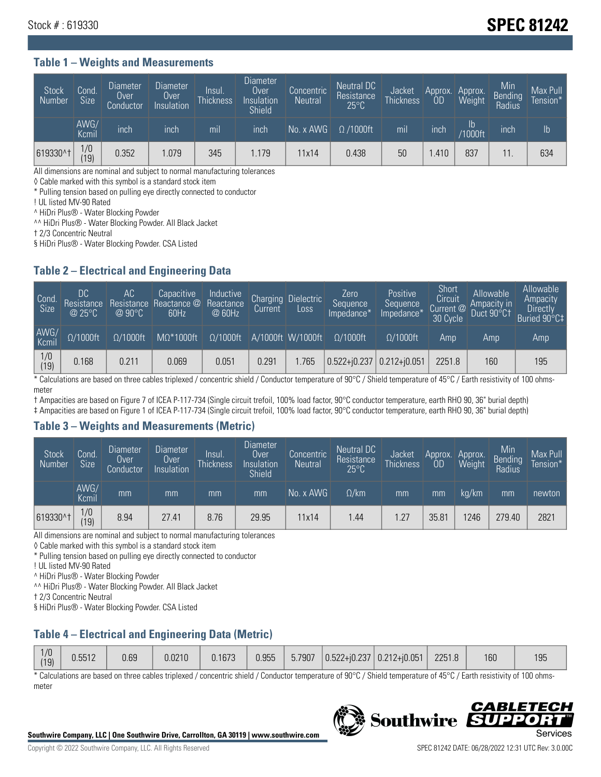# Stock # : 619330 **SPEC 81242**

#### **Table 1 – Weights and Measurements**

| <b>Stock</b><br>Number | Cond.<br><b>Size</b> | <b>Diameter</b><br>Over<br>Conductor | <b>Diameter</b><br>Over<br>Insulation | Insul.<br><b>Thickness</b> | <b>Diameter</b><br>Over<br>Insulation<br>Shield | Concentric<br><b>Neutral</b> | Neutral DC<br>Resistance<br>$25^{\circ}$ C | Jacket<br><b>Thickness</b> | Approx.<br>0D | Approx.<br>Weight        | Min<br>Bending<br>Radius | Max Pull<br>Tension* |
|------------------------|----------------------|--------------------------------------|---------------------------------------|----------------------------|-------------------------------------------------|------------------------------|--------------------------------------------|----------------------------|---------------|--------------------------|--------------------------|----------------------|
|                        | AWG/<br>Kcmil        | inch                                 | inch                                  | mil                        | inch                                            | No. x AWG                    | $\Omega$ /1000ft                           | mil                        | inch          | $\mathsf{lb}$<br>/1000ft | inch                     | Ib                   |
| 619330^†               | 1/0<br>(19)          | 0.352                                | 1.079                                 | 345                        | 1.179                                           | 11x14                        | 0.438                                      | 50                         | .410          | 837                      |                          | 634                  |

All dimensions are nominal and subject to normal manufacturing tolerances

◊ Cable marked with this symbol is a standard stock item

\* Pulling tension based on pulling eye directly connected to conductor

! UL listed MV-90 Rated

^ HiDri Plus® - Water Blocking Powder

^^ HiDri Plus® - Water Blocking Powder. All Black Jacket

† 2/3 Concentric Neutral

§ HiDri Plus® - Water Blocking Powder. CSA Listed

## **Table 2 – Electrical and Engineering Data**

| Cond.<br>Size         | 'DC.<br>Resistance<br>@25°C | АC<br>Resistance<br>$\varpi$ 90°C | Capacitive<br>Reactance @<br>60Hz | Inductive<br>Reactance<br>@ 60Hz | <b>Charging</b><br>Current | <b>Dielectric</b><br>Loss | Zero<br>Sequence<br>Impedance* | <b>Positive</b><br>Sequence<br>Impedance <sup>®</sup> | Short<br>Circuit<br>Current <sup>@</sup><br>30 Cycle | Allowable<br>Ampacity in<br>Duct 90°C1 | Allowable<br>Ampacity<br>Directly<br>Buried 90°C‡ |
|-----------------------|-----------------------------|-----------------------------------|-----------------------------------|----------------------------------|----------------------------|---------------------------|--------------------------------|-------------------------------------------------------|------------------------------------------------------|----------------------------------------|---------------------------------------------------|
| AWG/<br>Kcmil         | $\Omega/1000$ ft            | $\Omega/1000$ ft                  | $M\Omega^*1000$ ft                | $\Omega/1000$ ft                 |                            | A/1000ft W/1000ft         | $\Omega/1000$ ft               | $\Omega$ /1000ft                                      | Amp                                                  | Amp                                    | Amp                                               |
| $\frac{1}{0}$<br>(19) | 0.168                       | 0.211                             | 0.069                             | 0.051                            | 0.291                      | 1.765                     | $0.522 + i0.237$ 0.212+i0.051  |                                                       | 2251.8                                               | 160                                    | 195                                               |

\* Calculations are based on three cables triplexed / concentric shield / Conductor temperature of 90°C / Shield temperature of 45°C / Earth resistivity of 100 ohmsmeter

† Ampacities are based on Figure 7 of ICEA P-117-734 (Single circuit trefoil, 100% load factor, 90°C conductor temperature, earth RHO 90, 36" burial depth)

‡ Ampacities are based on Figure 1 of ICEA P-117-734 (Single circuit trefoil, 100% load factor, 90°C conductor temperature, earth RHO 90, 36" burial depth)

#### **Table 3 – Weights and Measurements (Metric)**

| <b>Stock</b><br>Number | Cond.<br>Size | Diameter<br><b>Over</b><br>Conductor | Diameter<br>Over<br>Insulation | Insul.<br><b>Thickness</b> | Diameter<br>Over<br>Insulation<br>Shield | Concentric<br><b>Neutral</b> | Neutral DC<br>Resistance<br>$25^{\circ}$ C | Jacket<br><b>Thickness</b> | Approx.<br>0D | Approx.<br>Weight | Min<br>Bending<br>Radius | Max Pull<br>Tension* |
|------------------------|---------------|--------------------------------------|--------------------------------|----------------------------|------------------------------------------|------------------------------|--------------------------------------------|----------------------------|---------------|-------------------|--------------------------|----------------------|
|                        | AWG/<br>Kcmil | mm                                   | mm                             | mm                         | mm                                       | No. x AWG                    | $\Omega$ /km                               | mm                         | mm            | ka/km             | mm                       | newton               |
| 619330^†               | 1/0<br>(19)   | 8.94                                 | 27.41                          | 8.76                       | 29.95                                    | 11x14                        | .44                                        | 1.27                       | 35.81         | 1246              | 279.40                   | 2821                 |

All dimensions are nominal and subject to normal manufacturing tolerances

◊ Cable marked with this symbol is a standard stock item

\* Pulling tension based on pulling eye directly connected to conductor

! UL listed MV-90 Rated

^ HiDri Plus® - Water Blocking Powder

^^ HiDri Plus® - Water Blocking Powder. All Black Jacket

† 2/3 Concentric Neutral

§ HiDri Plus® - Water Blocking Powder. CSA Listed

# **Table 4 – Electrical and Engineering Data (Metric)**

| 1/0<br>(19) | J.5512 | 0.69 | 0.0210 | 0.1673 | 0.955 |  |  | $\begin{bmatrix} 5.7907 & 0.522+i0.237 & 0.212+i0.051 \end{bmatrix}$ | 2251.8 | 160 | 195 |
|-------------|--------|------|--------|--------|-------|--|--|----------------------------------------------------------------------|--------|-----|-----|
|-------------|--------|------|--------|--------|-------|--|--|----------------------------------------------------------------------|--------|-----|-----|

\* Calculations are based on three cables triplexed / concentric shield / Conductor temperature of 90°C / Shield temperature of 45°C / Earth resistivity of 100 ohmsmeter